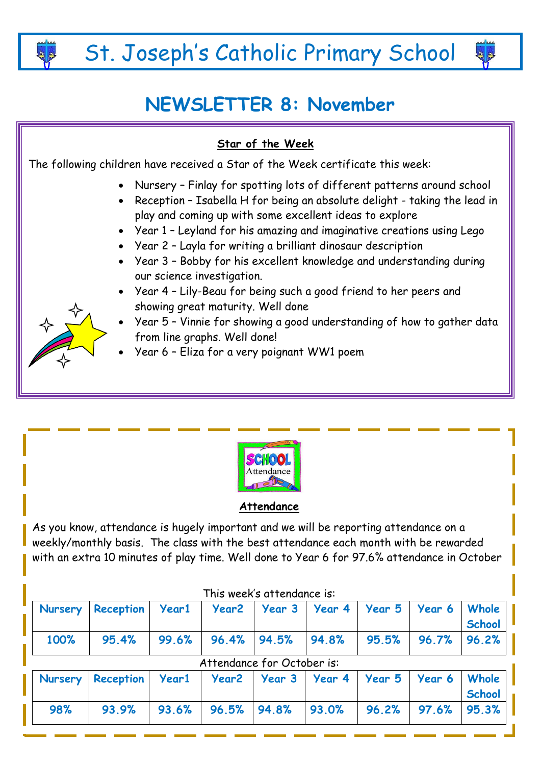St. Joseph's Catholic Primary School

# **NEWSLETTER 8: November**

### **Star of the Week**

The following children have received a Star of the Week certificate this week:

- Nursery Finlay for spotting lots of different patterns around school
	- Reception Isabella H for being an absolute delight taking the lead in play and coming up with some excellent ideas to explore
	- Year 1 Leyland for his amazing and imaginative creations using Lego
	- Year 2 Layla for writing a brilliant dinosaur description
	- Year 3 Bobby for his excellent knowledge and understanding during our science investigation.
	- Year 4 Lily-Beau for being such a good friend to her peers and showing great maturity. Well done
	- Year 5 Vinnie for showing a good understanding of how to gather data from line graphs. Well done!
	- Year 6 Eliza for a very poignant WW1 poem



# **Attendance**

As you know, attendance is hugely important and we will be reporting attendance on a weekly/monthly basis. The class with the best attendance each month with be rewarded with an extra 10 minutes of play time. Well done to Year 6 for 97.6% attendance in October

| <b>Nursery</b> | <b>Reception</b> | <b>Year1</b> | <b>Year2</b> |                            | Year 3   Year 4 | Year 5 | Year 6 | Whole<br><b>School</b> |
|----------------|------------------|--------------|--------------|----------------------------|-----------------|--------|--------|------------------------|
| 100%           | 95.4%            | 99.6%        | 96.4%        | 94.5%                      | 94.8%           | 95.5%  | 96.7%  | 96.2%                  |
|                |                  |              |              | Attendance for October is: |                 |        |        |                        |
| <b>Nursery</b> | <b>Reception</b> | Year1        | Year2        | <b>Year 3</b>              | Year 4          | Year 5 | Year 6 | Whole<br><b>School</b> |
| 98%            | 93.9%            | 93.6%        | 96.5%        | 94.8%                      | 93.0%           | 96.2%  | 97.6%  | 95.3%                  |

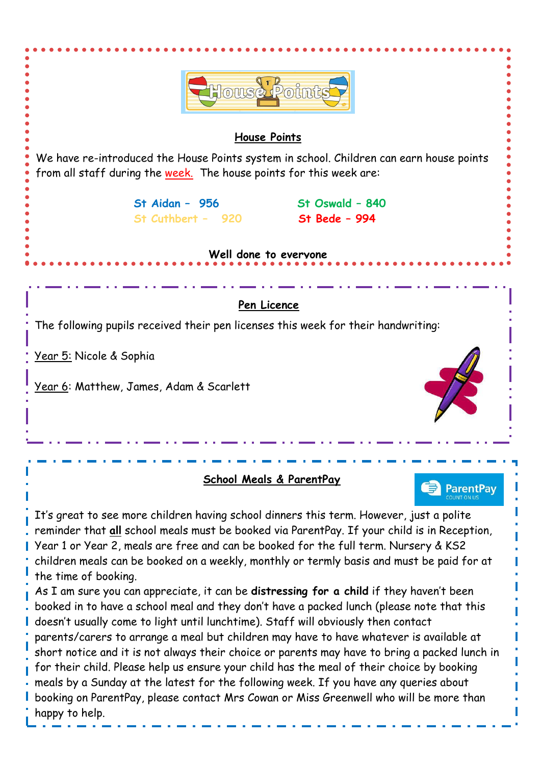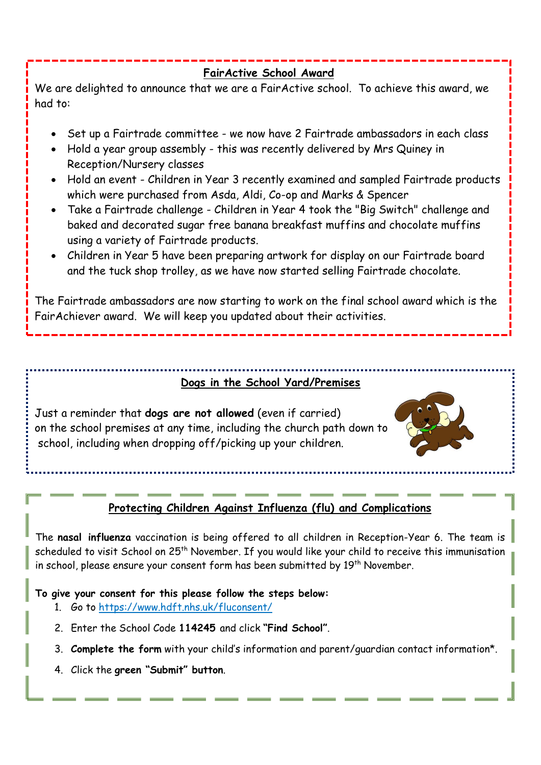#### **FairActive School Award**

We are delighted to announce that we are a FairActive school. To achieve this award, we had to:

- Set up a Fairtrade committee we now have 2 Fairtrade ambassadors in each class
- Hold a year group assembly this was recently delivered by Mrs Quiney in Reception/Nursery classes
- Hold an event Children in Year 3 recently examined and sampled Fairtrade products which were purchased from Asda, Aldi, Co-op and Marks & Spencer
- Take a Fairtrade challenge Children in Year 4 took the "Big Switch" challenge and baked and decorated sugar free banana breakfast muffins and chocolate muffins using a variety of Fairtrade products.
- Children in Year 5 have been preparing artwork for display on our Fairtrade board and the tuck shop trolley, as we have now started selling Fairtrade chocolate.

The Fairtrade ambassadors are now starting to work on the final school award which is the FairAchiever award. We will keep you updated about their activities.

# **Dogs in the School Yard/Premises**

Just a reminder that **dogs are not allowed** (even if carried) on the school premises at any time, including the church path down to school, including when dropping off/picking up your children.



# **Protecting Children Against Influenza (flu) and Complications**

The **nasal influenza** vaccination is being offered to all children in Reception-Year 6. The team is scheduled to visit School on 25<sup>th</sup> November. If you would like your child to receive this immunisation in school, please ensure your consent form has been submitted by 19<sup>th</sup> November.

#### **To give your consent for this please follow the steps below:**

- 1. Go to<https://www.hdft.nhs.uk/fluconsent/>
- 2. Enter the School Code **114245** and click **"Find School"**.
- 3. **Complete the form** with your child's information and parent/guardian contact information\*.
- 4. Click the **green "Submit" button**.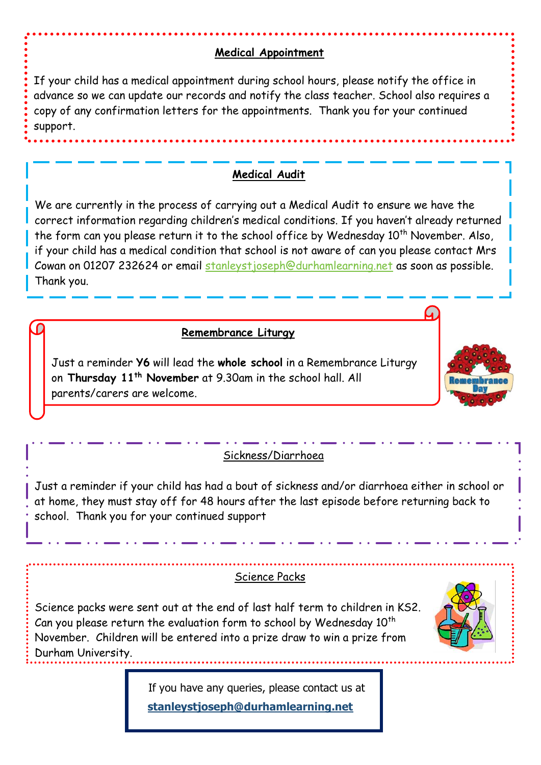#### **Medical Appointment**

If your child has a medical appointment during school hours, please notify the office in advance so we can update our records and notify the class teacher. School also requires a copy of any confirmation letters for the appointments. Thank you for your continued support.

#### **Medical Audit**

We are currently in the process of carrying out a Medical Audit to ensure we have the correct information regarding children's medical conditions. If you haven't already returned the form can you please return it to the school office by Wednesday 10<sup>th</sup> November. Also, if your child has a medical condition that school is not aware of can you please contact Mrs Cowan on 01207 232624 or email [stanleystjoseph@durhamlearning.net](mailto:stanleystjoseph@durhamlearning.net) as soon as possible. Thank you.

#### **Remembrance Liturgy**

Just a reminder **Y6** will lead the **whole school** in a Remembrance Liturgy on **Thursday 11th November** at 9.30am in the school hall. All parents/carers are welcome.



### Sickness/Diarrhoea

Just a reminder if your child has had a bout of sickness and/or diarrhoea either in school or at home, they must stay off for 48 hours after the last episode before returning back to school. Thank you for your continued support

#### Science Packs

Science packs were sent out at the end of last half term to children in KS2. Can you please return the evaluation form to school by Wednesday  $10<sup>th</sup>$ November. Children will be entered into a prize draw to win a prize from Durham University.



 If you have any queries, please contact us at  **[stanleystjoseph@durhamlearning.net](mailto:stanleystjoseph@durhamlearning.net)**